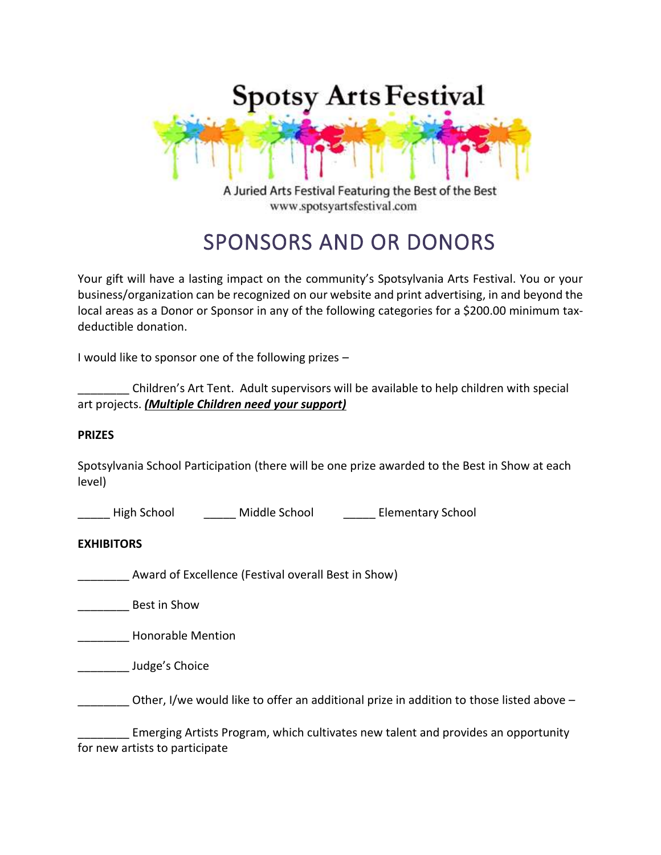

A Juried Arts Festival Featuring the Best of the Best www.spotsyartsfestival.com

# SPONSORS AND OR DONORS

Your gift will have a lasting impact on the community's Spotsylvania Arts Festival. You or your business/organization can be recognized on our website and print advertising, in and beyond the local areas as a Donor or Sponsor in any of the following categories for a \$200.00 minimum taxdeductible donation.

I would like to sponsor one of the following prizes –

\_\_\_\_\_\_\_\_ Children's Art Tent. Adult supervisors will be available to help children with special art projects. *(Multiple Children need your support)*

### **PRIZES**

Spotsylvania School Participation (there will be one prize awarded to the Best in Show at each level)

| High School | Middle School | <b>Elementary School</b> |
|-------------|---------------|--------------------------|
|             |               |                          |

### **EXHIBITORS**

Award of Excellence (Festival overall Best in Show)

\_\_\_\_\_\_\_\_ Best in Show

\_\_\_\_\_\_\_\_ Honorable Mention

\_\_\_\_\_\_\_\_ Judge's Choice

Other, I/we would like to offer an additional prize in addition to those listed above  $-$ 

\_\_\_\_\_\_\_\_ Emerging Artists Program, which cultivates new talent and provides an opportunity for new artists to participate